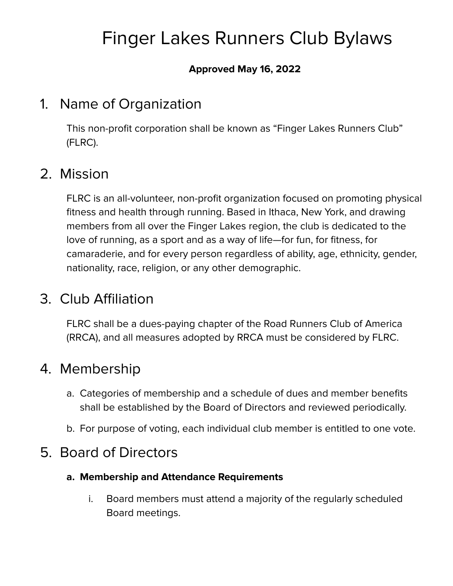# Finger Lakes Runners Club Bylaws

#### **Approved May 16, 2022**

### 1. Name of Organization

This non-profit corporation shall be known as "Finger Lakes Runners Club" (FLRC).

### 2. Mission

FLRC is an all-volunteer, non-profit organization focused on promoting physical fitness and health through running. Based in Ithaca, New York, and drawing members from all over the Finger Lakes region, the club is dedicated to the love of running, as a sport and as a way of life—for fun, for fitness, for camaraderie, and for every person regardless of ability, age, ethnicity, gender, nationality, race, religion, or any other demographic.

### 3. Club Affiliation

FLRC shall be a dues-paying chapter of the Road Runners Club of America (RRCA), and all measures adopted by RRCA must be considered by FLRC.

### 4. Membership

- a. Categories of membership and a schedule of dues and member benefits shall be established by the Board of Directors and reviewed periodically.
- b. For purpose of voting, each individual club member is entitled to one vote.

### 5. Board of Directors

- **a. Membership and Attendance Requirements**
	- i. Board members must attend a majority of the regularly scheduled Board meetings.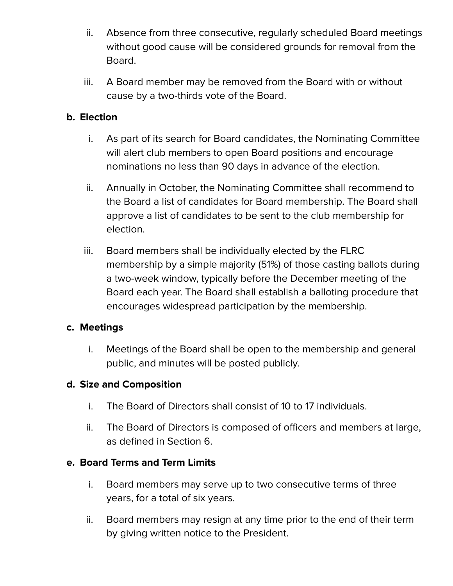- ii. Absence from three consecutive, regularly scheduled Board meetings without good cause will be considered grounds for removal from the Board.
- iii. A Board member may be removed from the Board with or without cause by a two-thirds vote of the Board.

#### **b. Election**

- i. As part of its search for Board candidates, the Nominating Committee will alert club members to open Board positions and encourage nominations no less than 90 days in advance of the election.
- ii. Annually in October, the Nominating Committee shall recommend to the Board a list of candidates for Board membership. The Board shall approve a list of candidates to be sent to the club membership for election.
- iii. Board members shall be individually elected by the FLRC membership by a simple majority (51%) of those casting ballots during a two-week window, typically before the December meeting of the Board each year. The Board shall establish a balloting procedure that encourages widespread participation by the membership.

#### **c. Meetings**

i. Meetings of the Board shall be open to the membership and general public, and minutes will be posted publicly.

#### **d. Size and Composition**

- i. The Board of Directors shall consist of 10 to 17 individuals.
- ii. The Board of Directors is composed of officers and members at large, as defined in Section 6.

#### **e. Board Terms and Term Limits**

- i. Board members may serve up to two consecutive terms of three years, for a total of six years.
- ii. Board members may resign at any time prior to the end of their term by giving written notice to the President.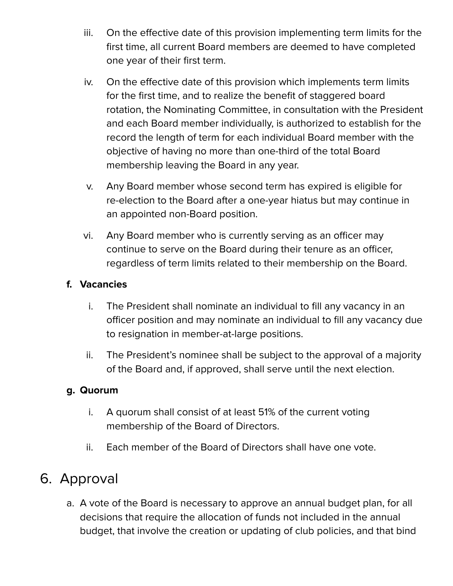- iii. On the effective date of this provision implementing term limits for the first time, all current Board members are deemed to have completed one year of their first term.
- iv. On the effective date of this provision which implements term limits for the first time, and to realize the benefit of staggered board rotation, the Nominating Committee, in consultation with the President and each Board member individually, is authorized to establish for the record the length of term for each individual Board member with the objective of having no more than one-third of the total Board membership leaving the Board in any year.
- v. Any Board member whose second term has expired is eligible for re-election to the Board after a one-year hiatus but may continue in an appointed non-Board position.
- vi. Any Board member who is currently serving as an officer may continue to serve on the Board during their tenure as an officer, regardless of term limits related to their membership on the Board.

#### **f. Vacancies**

- i. The President shall nominate an individual to fill any vacancy in an officer position and may nominate an individual to fill any vacancy due to resignation in member-at-large positions.
- ii. The President's nominee shall be subject to the approval of a majority of the Board and, if approved, shall serve until the next election.

#### **g. Quorum**

- i. A quorum shall consist of at least 51% of the current voting membership of the Board of Directors.
- ii. Each member of the Board of Directors shall have one vote.

### 6. Approval

a. A vote of the Board is necessary to approve an annual budget plan, for all decisions that require the allocation of funds not included in the annual budget, that involve the creation or updating of club policies, and that bind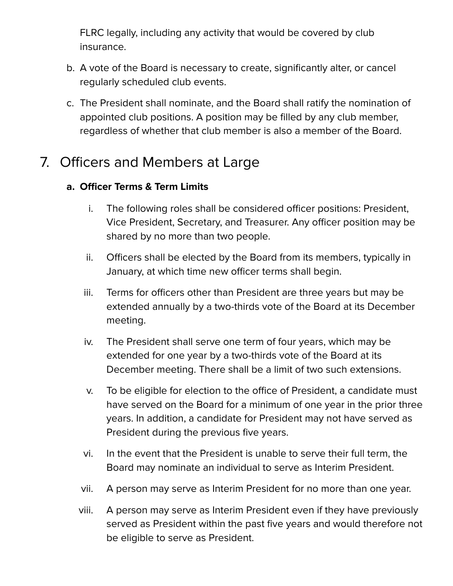FLRC legally, including any activity that would be covered by club insurance.

- b. A vote of the Board is necessary to create, significantly alter, or cancel regularly scheduled club events.
- c. The President shall nominate, and the Board shall ratify the nomination of appointed club positions. A position may be filled by any club member, regardless of whether that club member is also a member of the Board.

### 7. Officers and Members at Large

#### **a. Officer Terms & Term Limits**

- i. The following roles shall be considered officer positions: President, Vice President, Secretary, and Treasurer. Any officer position may be shared by no more than two people.
- ii. Officers shall be elected by the Board from its members, typically in January, at which time new officer terms shall begin.
- iii. Terms for officers other than President are three years but may be extended annually by a two-thirds vote of the Board at its December meeting.
- iv. The President shall serve one term of four years, which may be extended for one year by a two-thirds vote of the Board at its December meeting. There shall be a limit of two such extensions.
- v. To be eligible for election to the office of President, a candidate must have served on the Board for a minimum of one year in the prior three years. In addition, a candidate for President may not have served as President during the previous five years.
- vi. In the event that the President is unable to serve their full term, the Board may nominate an individual to serve as Interim President.
- vii. A person may serve as Interim President for no more than one year.
- viii. A person may serve as Interim President even if they have previously served as President within the past five years and would therefore not be eligible to serve as President.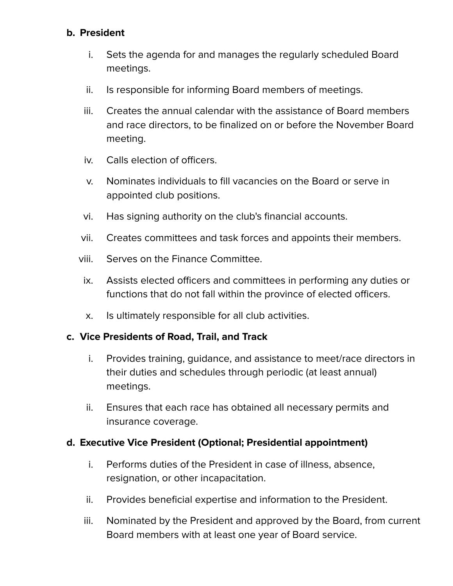#### **b. President**

- i. Sets the agenda for and manages the regularly scheduled Board meetings.
- ii. Is responsible for informing Board members of meetings.
- iii. Creates the annual calendar with the assistance of Board members and race directors, to be finalized on or before the November Board meeting.
- iv. Calls election of officers.
- v. Nominates individuals to fill vacancies on the Board or serve in appointed club positions.
- vi. Has signing authority on the club's financial accounts.
- vii. Creates committees and task forces and appoints their members.
- viii. Serves on the Finance Committee.
- ix. Assists elected officers and committees in performing any duties or functions that do not fall within the province of elected officers.
- x. Is ultimately responsible for all club activities.

#### **c. Vice Presidents of Road, Trail, and Track**

- i. Provides training, guidance, and assistance to meet/race directors in their duties and schedules through periodic (at least annual) meetings.
- ii. Ensures that each race has obtained all necessary permits and insurance coverage.

#### **d. Executive Vice President (Optional; Presidential appointment)**

- i. Performs duties of the President in case of illness, absence, resignation, or other incapacitation.
- ii. Provides beneficial expertise and information to the President.
- iii. Nominated by the President and approved by the Board, from current Board members with at least one year of Board service.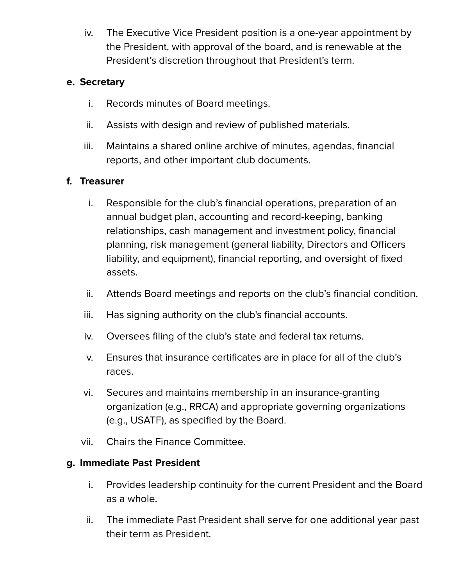iv. The Executive Vice President position is a one-year appointment by the President, with approval of the board, and is renewable at the President's discretion throughout that President's term.

#### **e. Secretary**

- i. Records minutes of Board meetings.
- ii. Assists with design and review of published materials.
- iii. Maintains a shared online archive of minutes, agendas, financial reports, and other important club documents.

#### **f. Treasurer**

- i. Responsible for the club's financial operations, preparation of an annual budget plan, accounting and record-keeping, banking relationships, cash management and investment policy, financial planning, risk management (general liability, Directors and Officers liability, and equipment), financial reporting, and oversight of fixed assets.
- ii. Attends Board meetings and reports on the club's financial condition.
- iii. Has signing authority on the club's financial accounts.
- iv. Oversees filing of the club's state and federal tax returns.
- v. Ensures that insurance certificates are in place for all of the club's races.
- vi. Secures and maintains membership in an insurance-granting organization (e.g., RRCA) and appropriate governing organizations (e.g., USATF), as specified by the Board.
- vii. Chairs the Finance Committee.

#### **g. Immediate Past President**

- i. Provides leadership continuity for the current President and the Board as a whole.
- ii. The immediate Past President shall serve for one additional year past their term as President.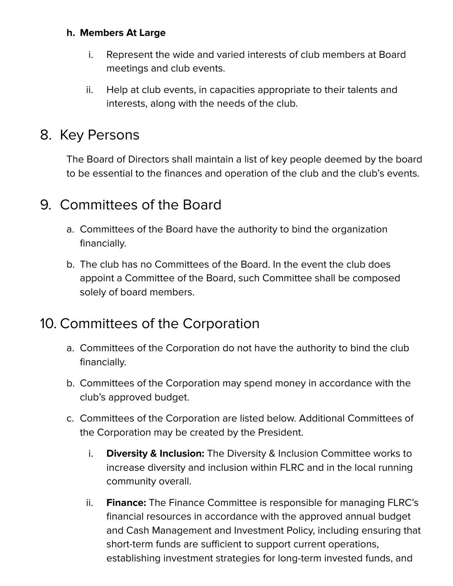#### **h. Members At Large**

- i. Represent the wide and varied interests of club members at Board meetings and club events.
- ii. Help at club events, in capacities appropriate to their talents and interests, along with the needs of the club.

### 8. Key Persons

The Board of Directors shall maintain a list of key people deemed by the board to be essential to the finances and operation of the club and the club's events.

### 9. Committees of the Board

- a. Committees of the Board have the authority to bind the organization financially.
- b. The club has no Committees of the Board. In the event the club does appoint a Committee of the Board, such Committee shall be composed solely of board members.

### 10. Committees of the Corporation

- a. Committees of the Corporation do not have the authority to bind the club financially.
- b. Committees of the Corporation may spend money in accordance with the club's approved budget.
- c. Committees of the Corporation are listed below. Additional Committees of the Corporation may be created by the President.
	- i. **Diversity & Inclusion:** The Diversity & Inclusion Committee works to increase diversity and inclusion within FLRC and in the local running community overall.
	- ii. **Finance:** The Finance Committee is responsible for managing FLRC's financial resources in accordance with the approved annual budget and Cash Management and Investment Policy, including ensuring that short-term funds are sufficient to support current operations, establishing investment strategies for long-term invested funds, and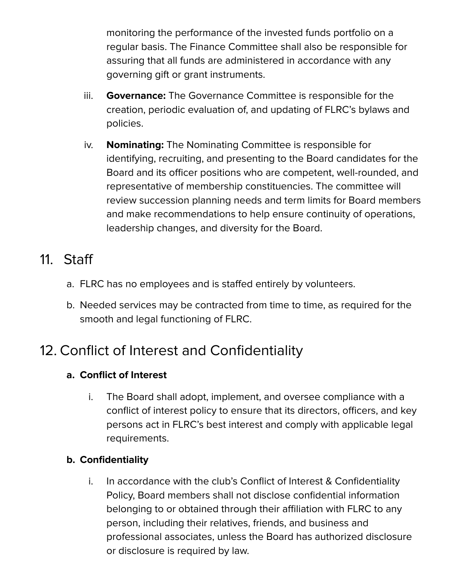monitoring the performance of the invested funds portfolio on a regular basis. The Finance Committee shall also be responsible for assuring that all funds are administered in accordance with any governing gift or grant instruments.

- iii. **Governance:** The Governance Committee is responsible for the creation, periodic evaluation of, and updating of FLRC's bylaws and policies.
- iv. **Nominating:** The Nominating Committee is responsible for identifying, recruiting, and presenting to the Board candidates for the Board and its officer positions who are competent, well-rounded, and representative of membership constituencies. The committee will review succession planning needs and term limits for Board members and make recommendations to help ensure continuity of operations, leadership changes, and diversity for the Board.

# 11. Staff

- a. FLRC has no employees and is staffed entirely by volunteers.
- b. Needed services may be contracted from time to time, as required for the smooth and legal functioning of FLRC.

# 12. Conflict of Interest and Confidentiality

#### **a. Conflict of Interest**

i. The Board shall adopt, implement, and oversee compliance with a conflict of interest policy to ensure that its directors, officers, and key persons act in FLRC's best interest and comply with applicable legal requirements.

#### **b. Confidentiality**

i. In accordance with the club's Conflict of Interest & Confidentiality Policy, Board members shall not disclose confidential information belonging to or obtained through their affiliation with FLRC to any person, including their relatives, friends, and business and professional associates, unless the Board has authorized disclosure or disclosure is required by law.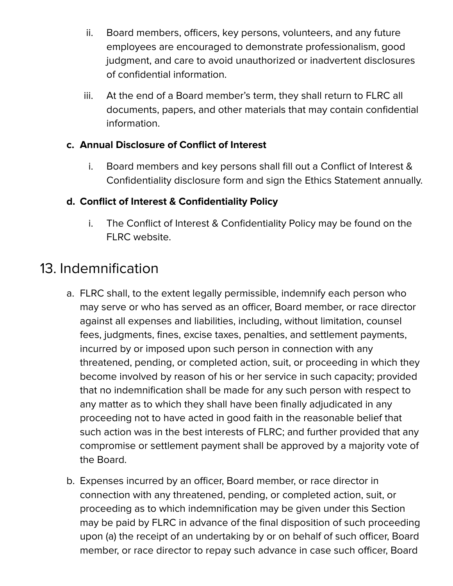- ii. Board members, officers, key persons, volunteers, and any future employees are encouraged to demonstrate professionalism, good judgment, and care to avoid unauthorized or inadvertent disclosures of confidential information.
- iii. At the end of a Board member's term, they shall return to FLRC all documents, papers, and other materials that may contain confidential information.

#### **c. Annual Disclosure of Conflict of Interest**

i. Board members and key persons shall fill out a Conflict of Interest & Confidentiality disclosure form and sign the Ethics Statement annually.

#### **d. Conflict of Interest & Confidentiality Policy**

i. The Conflict of Interest & Confidentiality Policy may be found on the FLRC website.

# 13. Indemnification

- a. FLRC shall, to the extent legally permissible, indemnify each person who may serve or who has served as an officer, Board member, or race director against all expenses and liabilities, including, without limitation, counsel fees, judgments, fines, excise taxes, penalties, and settlement payments, incurred by or imposed upon such person in connection with any threatened, pending, or completed action, suit, or proceeding in which they become involved by reason of his or her service in such capacity; provided that no indemnification shall be made for any such person with respect to any matter as to which they shall have been finally adjudicated in any proceeding not to have acted in good faith in the reasonable belief that such action was in the best interests of FLRC; and further provided that any compromise or settlement payment shall be approved by a majority vote of the Board.
- b. Expenses incurred by an officer, Board member, or race director in connection with any threatened, pending, or completed action, suit, or proceeding as to which indemnification may be given under this Section may be paid by FLRC in advance of the final disposition of such proceeding upon (a) the receipt of an undertaking by or on behalf of such officer, Board member, or race director to repay such advance in case such officer, Board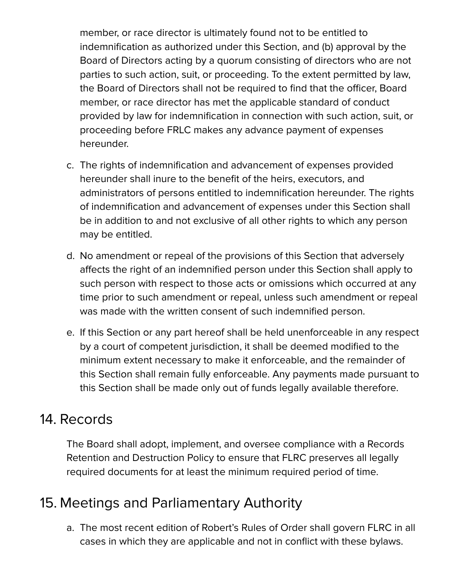member, or race director is ultimately found not to be entitled to indemnification as authorized under this Section, and (b) approval by the Board of Directors acting by a quorum consisting of directors who are not parties to such action, suit, or proceeding. To the extent permitted by law, the Board of Directors shall not be required to find that the officer, Board member, or race director has met the applicable standard of conduct provided by law for indemnification in connection with such action, suit, or proceeding before FRLC makes any advance payment of expenses hereunder.

- c. The rights of indemnification and advancement of expenses provided hereunder shall inure to the benefit of the heirs, executors, and administrators of persons entitled to indemnification hereunder. The rights of indemnification and advancement of expenses under this Section shall be in addition to and not exclusive of all other rights to which any person may be entitled.
- d. No amendment or repeal of the provisions of this Section that adversely affects the right of an indemnified person under this Section shall apply to such person with respect to those acts or omissions which occurred at any time prior to such amendment or repeal, unless such amendment or repeal was made with the written consent of such indemnified person.
- e. If this Section or any part hereof shall be held unenforceable in any respect by a court of competent jurisdiction, it shall be deemed modified to the minimum extent necessary to make it enforceable, and the remainder of this Section shall remain fully enforceable. Any payments made pursuant to this Section shall be made only out of funds legally available therefore.

### 14. Records

The Board shall adopt, implement, and oversee compliance with a Records Retention and Destruction Policy to ensure that FLRC preserves all legally required documents for at least the minimum required period of time.

### 15. Meetings and Parliamentary Authority

a. The most recent edition of Robert's Rules of Order shall govern FLRC in all cases in which they are applicable and not in conflict with these bylaws.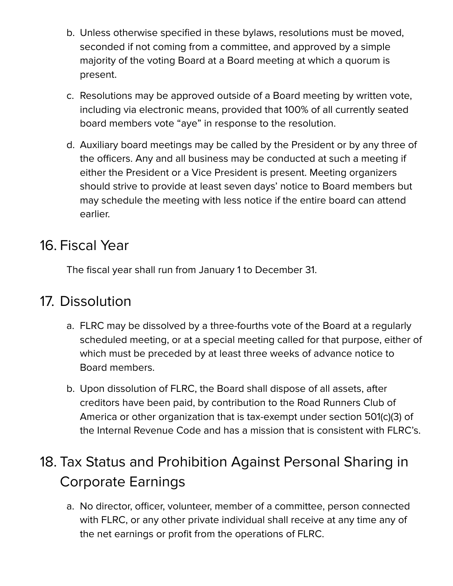- b. Unless otherwise specified in these bylaws, resolutions must be moved, seconded if not coming from a committee, and approved by a simple majority of the voting Board at a Board meeting at which a quorum is present.
- c. Resolutions may be approved outside of a Board meeting by written vote, including via electronic means, provided that 100% of all currently seated board members vote "aye" in response to the resolution.
- d. Auxiliary board meetings may be called by the President or by any three of the officers. Any and all business may be conducted at such a meeting if either the President or a Vice President is present. Meeting organizers should strive to provide at least seven days' notice to Board members but may schedule the meeting with less notice if the entire board can attend earlier.

### 16. Fiscal Year

The fiscal year shall run from January 1 to December 31.

# 17. Dissolution

- a. FLRC may be dissolved by a three-fourths vote of the Board at a regularly scheduled meeting, or at a special meeting called for that purpose, either of which must be preceded by at least three weeks of advance notice to Board members.
- b. Upon dissolution of FLRC, the Board shall dispose of all assets, after creditors have been paid, by contribution to the Road Runners Club of America or other organization that is tax-exempt under section 501(c)(3) of the Internal Revenue Code and has a mission that is consistent with FLRC's.

# 18. Tax Status and Prohibition Against Personal Sharing in Corporate Earnings

a. No director, officer, volunteer, member of a committee, person connected with FLRC, or any other private individual shall receive at any time any of the net earnings or profit from the operations of FLRC.